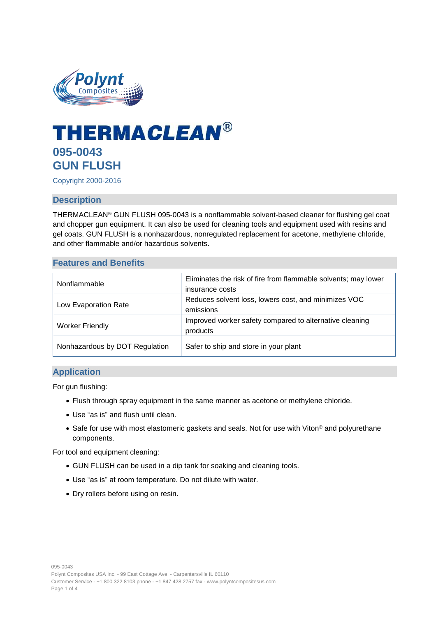

# **THERMACLEAN® 095-0043 GUN FLUSH**

Copyright 2000-2016

## **Description**

THERMACLEAN® GUN FLUSH 095-0043 is a nonflammable solvent-based cleaner for flushing gel coat and chopper gun equipment. It can also be used for cleaning tools and equipment used with resins and gel coats. GUN FLUSH is a nonhazardous, nonregulated replacement for acetone, methylene chloride, and other flammable and/or hazardous solvents.

#### **Features and Benefits**

| Nonflammable                   | Eliminates the risk of fire from flammable solvents; may lower<br>insurance costs |
|--------------------------------|-----------------------------------------------------------------------------------|
| Low Evaporation Rate           | Reduces solvent loss, lowers cost, and minimizes VOC<br>emissions                 |
| <b>Worker Friendly</b>         | Improved worker safety compared to alternative cleaning<br>products               |
| Nonhazardous by DOT Regulation | Safer to ship and store in your plant                                             |

## **Application**

For gun flushing:

- Flush through spray equipment in the same manner as acetone or methylene chloride.
- Use "as is" and flush until clean.
- Safe for use with most elastomeric gaskets and seals. Not for use with Viton® and polyurethane components.

For tool and equipment cleaning:

- GUN FLUSH can be used in a dip tank for soaking and cleaning tools.
- Use "as is" at room temperature. Do not dilute with water.
- Dry rollers before using on resin.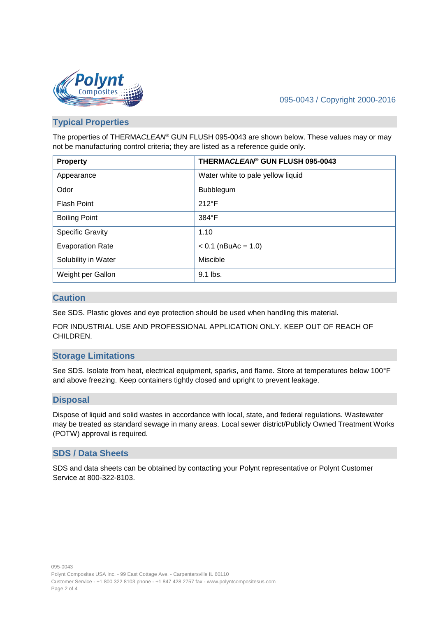

## 095-0043 / Copyright 2000-2016

## **Typical Properties**

The properties of THERMA*CLEAN*® GUN FLUSH 095-0043 are shown below. These values may or may not be manufacturing control criteria; they are listed as a reference guide only.

| <b>Property</b>         | THERMACLEAN <sup>®</sup> GUN FLUSH 095-0043 |
|-------------------------|---------------------------------------------|
| Appearance              | Water white to pale yellow liquid           |
| Odor                    | Bubblegum                                   |
| <b>Flash Point</b>      | $212^{\circ}F$                              |
| <b>Boiling Point</b>    | 384°F                                       |
| <b>Specific Gravity</b> | 1.10                                        |
| <b>Evaporation Rate</b> | $< 0.1$ (nBuAc = 1.0)                       |
| Solubility in Water     | Miscible                                    |
| Weight per Gallon       | 9.1 lbs.                                    |

### **Caution**

See SDS. Plastic gloves and eye protection should be used when handling this material.

FOR INDUSTRIAL USE AND PROFESSIONAL APPLICATION ONLY. KEEP OUT OF REACH OF CHILDREN.

### **Storage Limitations**

See SDS. Isolate from heat, electrical equipment, sparks, and flame. Store at temperatures below 100°F and above freezing. Keep containers tightly closed and upright to prevent leakage.

### **Disposal**

Dispose of liquid and solid wastes in accordance with local, state, and federal regulations. Wastewater may be treated as standard sewage in many areas. Local sewer district/Publicly Owned Treatment Works (POTW) approval is required.

#### **SDS / Data Sheets**

SDS and data sheets can be obtained by contacting your Polynt representative or Polynt Customer Service at 800-322-8103.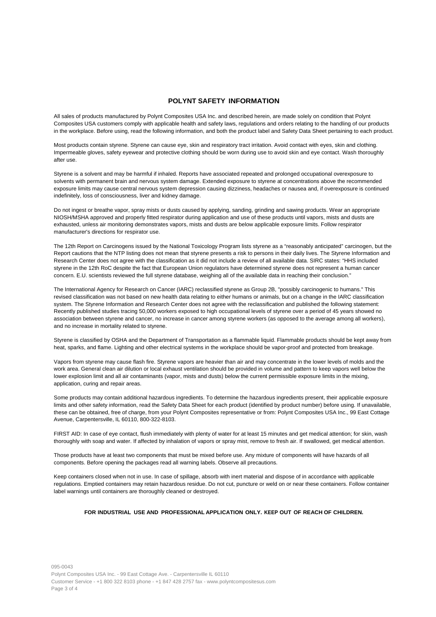#### **POLYNT SAFETY INFORMATION**

All sales of products manufactured by Polynt Composites USA Inc. and described herein, are made solely on condition that Polynt Composites USA customers comply with applicable health and safety laws, regulations and orders relating to the handling of our products in the workplace. Before using, read the following information, and both the product label and Safety Data Sheet pertaining to each product.

Most products contain styrene. Styrene can cause eye, skin and respiratory tract irritation. Avoid contact with eyes, skin and clothing. Impermeable gloves, safety eyewear and protective clothing should be worn during use to avoid skin and eye contact. Wash thoroughly after use.

Styrene is a solvent and may be harmful if inhaled. Reports have associated repeated and prolonged occupational overexposure to solvents with permanent brain and nervous system damage. Extended exposure to styrene at concentrations above the recommended exposure limits may cause central nervous system depression causing dizziness, headaches or nausea and, if overexposure is continued indefinitely, loss of consciousness, liver and kidney damage.

Do not ingest or breathe vapor, spray mists or dusts caused by applying, sanding, grinding and sawing products. Wear an appropriate NIOSH/MSHA approved and properly fitted respirator during application and use of these products until vapors, mists and dusts are exhausted, unless air monitoring demonstrates vapors, mists and dusts are below applicable exposure limits. Follow respirator manufacturer's directions for respirator use.

The 12th Report on Carcinogens issued by the National Toxicology Program lists styrene as a "reasonably anticipated" carcinogen, but the Report cautions that the NTP listing does not mean that styrene presents a risk to persons in their daily lives. The Styrene Information and Research Center does not agree with the classification as it did not include a review of all available data. SIRC states: "HHS included styrene in the 12th RoC despite the fact that European Union regulators have determined styrene does not represent a human cancer concern. E.U. scientists reviewed the full styrene database, weighing all of the available data in reaching their conclusion."

The International Agency for Research on Cancer (IARC) reclassified styrene as Group 2B, "possibly carcinogenic to humans." This revised classification was not based on new health data relating to either humans or animals, but on a change in the IARC classification system. The Styrene Information and Research Center does not agree with the reclassification and published the following statement: Recently published studies tracing 50,000 workers exposed to high occupational levels of styrene over a period of 45 years showed no association between styrene and cancer, no increase in cancer among styrene workers (as opposed to the average among all workers), and no increase in mortality related to styrene.

Styrene is classified by OSHA and the Department of Transportation as a flammable liquid. Flammable products should be kept away from heat, sparks, and flame. Lighting and other electrical systems in the workplace should be vapor-proof and protected from breakage.

Vapors from styrene may cause flash fire. Styrene vapors are heavier than air and may concentrate in the lower levels of molds and the work area. General clean air dilution or local exhaust ventilation should be provided in volume and pattern to keep vapors well below the lower explosion limit and all air contaminants (vapor, mists and dusts) below the current permissible exposure limits in the mixing, application, curing and repair areas.

Some products may contain additional hazardous ingredients. To determine the hazardous ingredients present, their applicable exposure limits and other safety information, read the Safety Data Sheet for each product (identified by product number) before using. If unavailable, these can be obtained, free of charge, from your Polynt Composites representative or from: Polynt Composites USA Inc., 99 East Cottage Avenue, Carpentersville, IL 60110, 800-322-8103.

FIRST AID: In case of eye contact, flush immediately with plenty of water for at least 15 minutes and get medical attention; for skin, wash thoroughly with soap and water. If affected by inhalation of vapors or spray mist, remove to fresh air. If swallowed, get medical attention.

Those products have at least two components that must be mixed before use. Any mixture of components will have hazards of all components. Before opening the packages read all warning labels. Observe all precautions.

Keep containers closed when not in use. In case of spillage, absorb with inert material and dispose of in accordance with applicable regulations. Emptied containers may retain hazardous residue. Do not cut, puncture or weld on or near these containers. Follow container label warnings until containers are thoroughly cleaned or destroyed.

#### **FOR INDUSTRIAL USE AND PROFESSIONAL APPLICATION ONLY. KEEP OUT OF REACH OF CHILDREN.**